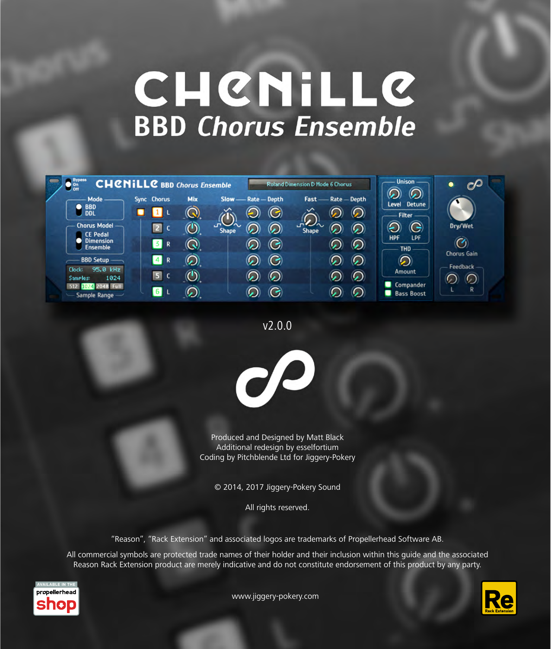# CHENILLE **BBD Chorus Ensemble**

| $\frac{Bypass}{\text{On}}$<br><b>CHCNILLC</b> BBD Chorus Ensemble |                      |                   |                              |                     |                    | Roland Dimension D Mode 6 Chorus |              | <b>Unison</b>                                   | $\mathcal{O}$<br>œ             |
|-------------------------------------------------------------------|----------------------|-------------------|------------------------------|---------------------|--------------------|----------------------------------|--------------|-------------------------------------------------|--------------------------------|
| Mode -                                                            | <b>Sync</b> Chorus   | Mix               |                              | Slow - Rate - Depth |                    | $Fast$ —                         | Rate - Depth | $\circledcirc$<br><b>Detune</b><br><b>Level</b> |                                |
| <b>BBD</b><br><b>DDL</b>                                          |                      | $\left(  \right)$ |                              |                     | G                  |                                  | ပ            | Filter-                                         |                                |
| <b>Chorus Model</b><br><b>CE Pedal</b>                            | $\overline{2}$       | $\circledcirc$    | $\mathbf{d}$<br><b>Shape</b> |                     | $\odot$            | いつへ<br><b>Shape</b>              | り)           | G                                               | Dry/Wet                        |
| <b>Dimension</b><br><b>Ensemble</b>                               | $\vert 3 \vert$<br>R | $\mathbf Q$       |                              |                     | G                  |                                  | $\varpi$     | LPF.<br><b>HPF</b><br><b>THD</b>                | $\overline{C}$                 |
| <b>BBD Setup</b>                                                  | $\vert 4 \vert$<br>R | $\odot$           |                              |                     | $\mathcal{L}$      |                                  | 6)           | $\odot$                                         | <b>Chorus Gain</b><br>Feedback |
| 95.0 kHz<br>Clock:<br>1024<br>Samples:                            | 5.                   | $\bigcirc$        |                              |                     | $\bm{\mathcal{D}}$ |                                  | $\mathbf{d}$ | Amount                                          |                                |
| 2048 Full<br>512<br>Sample Range -                                | $\vert 6 \vert$      | رر)               |                              |                     | -                  |                                  |              | Compander<br><b>Bass Boost</b>                  | R                              |

v2.0.0



Produced and Designed by Matt Black Additional redesign by esselfortium Coding by Pitchblende Ltd for Jiggery-Pokery

© 2014, 2017 Jiggery-Pokery Sound

All rights reserved.

"Reason", "Rack Extension" and associated logos are trademarks of Propellerhead Software AB.

All commercial symbols are protected trade names of their holder and their inclusion within this guide and the associated Reason Rack Extension product are merely indicative and do not constitute endorsement of this product by any party.



Re

[www.jiggery-pokery.com](http://www.jiggery-pokery.com)

[www.jiggery-pokery.com](http://www.jiggery-pokery.com) *Chenille Chorus Ensemble v2 1*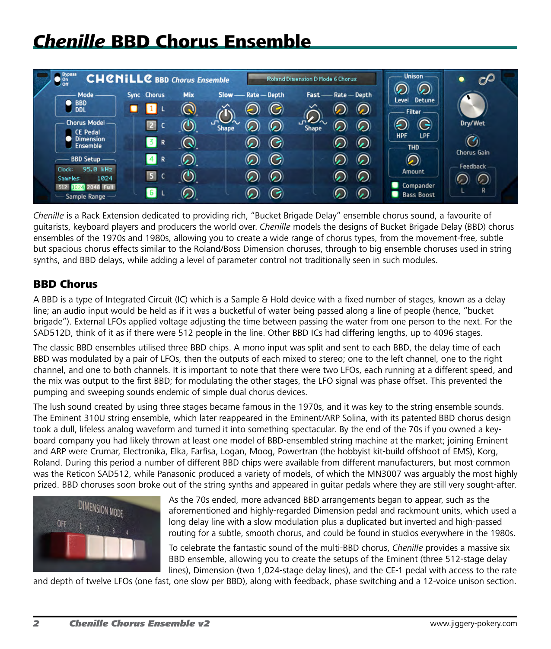# *Chenille* BBD Chorus Ensemble



*Chenille* is a Rack Extension dedicated to providing rich, "Bucket Brigade Delay" ensemble chorus sound, a favourite of guitarists, keyboard players and producers the world over. *Chenille* models the designs of Bucket Brigade Delay (BBD) chorus ensembles of the 1970s and 1980s, allowing you to create a wide range of chorus types, from the movement-free, subtle but spacious chorus effects similar to the Roland/Boss Dimension choruses, through to big ensemble choruses used in string synths, and BBD delays, while adding a level of parameter control not traditionally seen in such modules.

# BBD Chorus

A BBD is a type of Integrated Circuit (IC) which is a Sample & Hold device with a fixed number of stages, known as a delay line; an audio input would be held as if it was a bucketful of water being passed along a line of people (hence, "bucket brigade"). External LFOs applied voltage adjusting the time between passing the water from one person to the next. For the SAD512D, think of it as if there were 512 people in the line. Other BBD ICs had differing lengths, up to 4096 stages.

The classic BBD ensembles utilised three BBD chips. A mono input was split and sent to each BBD, the delay time of each BBD was modulated by a pair of LFOs, then the outputs of each mixed to stereo; one to the left channel, one to the right channel, and one to both channels. It is important to note that there were two LFOs, each running at a different speed, and the mix was output to the first BBD; for modulating the other stages, the LFO signal was phase offset. This prevented the pumping and sweeping sounds endemic of simple dual chorus devices.

The lush sound created by using three stages became famous in the 1970s, and it was key to the string ensemble sounds. The Eminent 310U string ensemble, which later reappeared in the Eminent/ARP Solina, with its patented BBD chorus design took a dull, lifeless analog waveform and turned it into something spectacular. By the end of the 70s if you owned a keyboard company you had likely thrown at least one model of BBD-ensembled string machine at the market; joining Eminent and ARP were Crumar, Electronika, Elka, Farfisa, Logan, Moog, Powertran (the hobbyist kit-build offshoot of EMS), Korg, Roland. During this period a number of different BBD chips were available from different manufacturers, but most common was the Reticon SAD512, while Panasonic produced a variety of models, of which the MN3007 was arguably the most highly prized. BBD choruses soon broke out of the string synths and appeared in guitar pedals where they are still very sought-after.



As the 70s ended, more advanced BBD arrangements began to appear, such as the advanced BBD arrangements began to appear, such as the storehold and highly-regarded Dimension pedal and rackmount units, which aforementioned and highly-regarded Dimension pedal and rackmount units, which used a long delay line with a slow modulation plus a duplicated but inverted and high-passed routing for a subtle, smooth chorus, and could be found in studios everywhere in the 1980s.

> To celebrate the fantastic sound of the multi-BBD chorus, *Chenille* provides a massive six BBD ensemble, allowing you to create the setups of the Eminent (three 512-stage delay lines), Dimension (two 1,024-stage delay lines), and the CE-1 pedal with access to the rate

and depth of twelve LFOs (one fast, one slow per BBD), along with feedback, phase switching and a 12-voice unison section.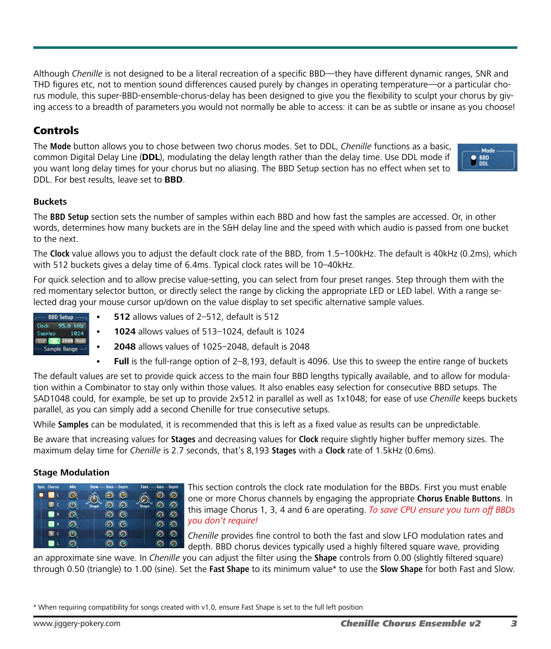Although *Chenille* is not designed to be a literal recreation of a specific BBD—they have different dynamic ranges, SNR and THD figures etc, not to mention sound differences caused purely by changes in operating temperature—or a particular chorus module, this super-BBD-ensemble-chorus-delay has been designed to give you the flexibility to sculpt your chorus by giving access to a breadth of parameters you would not normally be able to access: it can be as subtle or insane as you choose!

# Controls

The **Mode** button allows you to chose between two chorus modes. Set to DDL, *Chenille* functions as a basic, common Digital Delay Line (**DDL**), modulating the delay length rather than the delay time. Use DDL mode if you want long delay times for your chorus but no aliasing. The BBD Setup section has no effect when set to DDL. For best results, leave set to **BBD**.



# **Buckets**

The **BBD Setup** section sets the number of samples within each BBD and how fast the samples are accessed. Or, in other words, determines how many buckets are in the S&H delay line and the speed with which audio is passed from one bucket to the next.

The **Clock** value allows you to adjust the default clock rate of the BBD, from 1.5–100kHz. The default is 40kHz (0.2ms), which with 512 buckets gives a delay time of 6.4ms. Typical clock rates will be 10–40kHz.

For quick selection and to allow precise value-setting, you can select from four preset ranges. Step through them with the red momentary selector button, or directly select the range by clicking the appropriate LED or LED label. With a range selected drag your mouse cursor up/down on the value display to set specific alternative sample values.

- **BBD Setup** Clock: 95.0 kHz Samples: 1024 512 9023 2048 Full Sample Range -
- **512** allows values of 2-512, default is 512
- **• 1024** allows values of 513–1024, default is 1024
- **• 2048** allows values of 1025–2048, default is 2048
- **• Full** is the full-range option of 2–8,193, default is 4096. Use this to sweep the entire range of buckets

The default values are set to provide quick access to the main four BBD lengths typically available, and to allow for modulation within a Combinator to stay only within those values. It also enables easy selection for consecutive BBD setups. The SAD1048 could, for example, be set up to provide 2x512 in parallel as well as 1x1048; for ease of use *Chenille* keeps buckets parallel, as you can simply add a second Chenille for true consecutive setups.

While **Samples** can be modulated, it is recommended that this is left as a fixed value as results can be unpredictable.

Be aware that increasing values for **Stages** and decreasing values for **Clock** require slightly higher buffer memory sizes. The maximum delay time for *Chenille* is 2.7 seconds, that's 8,193 **Stages** with a **Clock** rate of 1.5kHz (0.6ms).

# **Stage Modulation**

| Sync Chorus | Mix | -Rate - Depth<br><b>Slow</b> | Fast<br>Rate - Depth |
|-------------|-----|------------------------------|----------------------|
|             |     | G<br>S                       | ⋒                    |
|             |     | ි.                           | ငှ                   |
| 5<br>R      |     | G<br>C)                      | ဂ                    |
| R           |     | G<br>ဂေ                      | ဂ                    |
|             |     |                              |                      |
|             |     |                              |                      |

This section controls the clock rate modulation for the BBDs. First you must enable one or more Chorus channels by engaging the appropriate **Chorus Enable Buttons**. In this image Chorus 1, 3, 4 and 6 are operating. *To save CPU ensure you turn off BBDs you don't require!*

*Chenille* provides fine control to both the fast and slow LFO modulation rates and depth. BBD chorus devices typically used a highly filtered square wave, providing

an approximate sine wave. In *Chenille* you can adjust the filter using the **Shape** controls from 0.00 (slightly filtered square) through 0.50 (triangle) to 1.00 (sine). Set the **Fast Shape** to its minimum value\* to use the **Slow Shape** for both Fast and Slow.

\* When requiring compatibility for songs created with v1.0, ensure Fast Shape is set to the full left position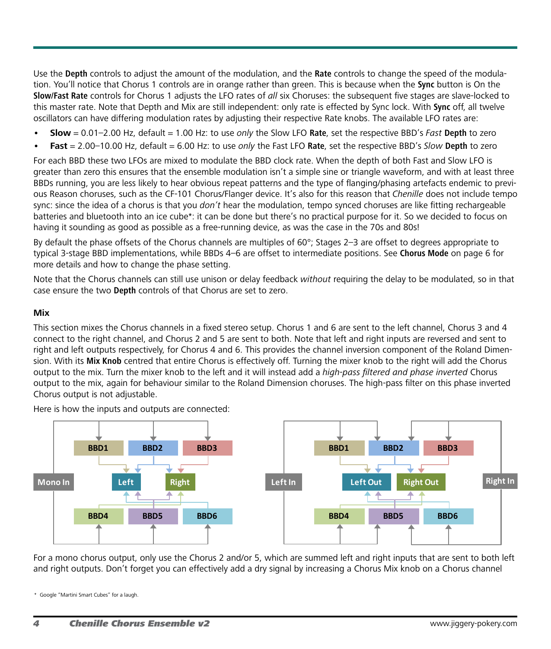Use the **Depth** controls to adjust the amount of the modulation, and the **Rate** controls to change the speed of the modulation. You'll notice that Chorus 1 controls are in orange rather than green. This is because when the **Sync** button is On the **Slow/Fast Rate** controls for Chorus 1 adjusts the LFO rates of *all* six Choruses: the subsequent five stages are slave-locked to this master rate. Note that Depth and Mix are still independent: only rate is effected by Sync lock. With **Sync** off, all twelve oscillators can have differing modulation rates by adjusting their respective Rate knobs. The available LFO rates are:

- **• Slow** = 0.01–2.00 Hz, default = 1.00 Hz: to use *only* the Slow LFO **Rate**, set the respective BBD's *Fast* **Depth** to zero
- **• Fast** = 2.00–10.00 Hz, default = 6.00 Hz: to use *only* the Fast LFO **Rate**, set the respective BBD's *Slow* **Depth** to zero

For each BBD these two LFOs are mixed to modulate the BBD clock rate. When the depth of both Fast and Slow LFO is greater than zero this ensures that the ensemble modulation isn't a simple sine or triangle waveform, and with at least three BBDs running, you are less likely to hear obvious repeat patterns and the type of flanging/phasing artefacts endemic to previous Reason choruses, such as the CF-101 Chorus/Flanger device. It's also for this reason that *Chenille* does not include tempo sync: since the idea of a chorus is that you *don't* hear the modulation, tempo synced choruses are like fitting rechargeable batteries and bluetooth into an ice cube\*: it can be done but there's no practical purpose for it. So we decided to focus on having it sounding as good as possible as a free-running device, as was the case in the 70s and 80s!

By default the phase offsets of the Chorus channels are multiples of 60°; Stages 2–3 are offset to degrees appropriate to typical 3-stage BBD implementations, while BBDs 4–6 are offset to intermediate positions. See **Chorus Mode** on page 6 for more details and how to change the phase setting.

Note that the Chorus channels can still use unison or delay feedback *without* requiring the delay to be modulated, so in that case ensure the two **Depth** controls of that Chorus are set to zero.

### **Mix**

This section mixes the Chorus channels in a fixed stereo setup. Chorus 1 and 6 are sent to the left channel, Chorus 3 and 4 connect to the right channel, and Chorus 2 and 5 are sent to both. Note that left and right inputs are reversed and sent to right and left outputs respectively, for Chorus 4 and 6. This provides the channel inversion component of the Roland Dimension. With its **Mix Knob** centred that entire Chorus is effectively off. Turning the mixer knob to the right will add the Chorus output to the mix. Turn the mixer knob to the left and it will instead add a *high-pass filtered and phase inverted* Chorus output to the mix, again for behaviour similar to the Roland Dimension choruses. The high-pass filter on this phase inverted Chorus output is not adjustable.

Here is how the inputs and outputs are connected:



For a mono chorus output, only use the Chorus 2 and/or 5, which are summed left and right inputs that are sent to both left and right outputs. Don't forget you can effectively add a dry signal by increasing a Chorus Mix knob on a Chorus channel

Google "Martini Smart Cubes" for a laugh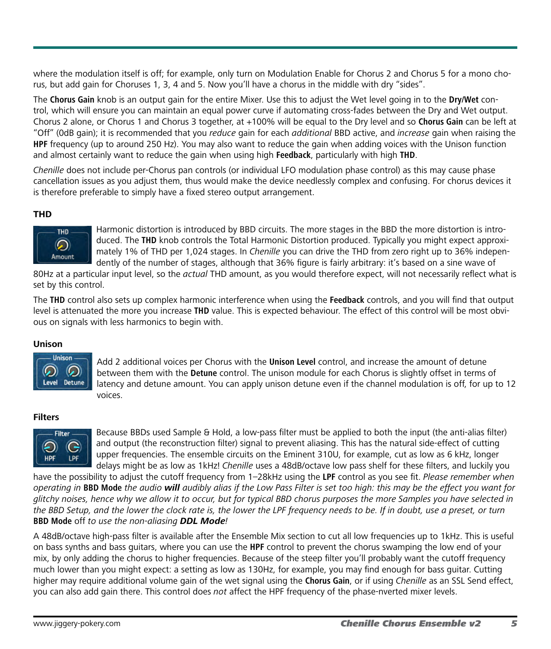where the modulation itself is off; for example, only turn on Modulation Enable for Chorus 2 and Chorus 5 for a mono chorus, but add gain for Choruses 1, 3, 4 and 5. Now you'll have a chorus in the middle with dry "sides".

The **Chorus Gain** knob is an output gain for the entire Mixer. Use this to adjust the Wet level going in to the **Dry/Wet** control, which will ensure you can maintain an equal power curve if automating cross-fades between the Dry and Wet output. Chorus 2 alone, or Chorus 1 and Chorus 3 together, at +100% will be equal to the Dry level and so **Chorus Gain** can be left at "Off" (0dB gain); it is recommended that you *reduce* gain for each *additional* BBD active, and *increase* gain when raising the **HPF** frequency (up to around 250 Hz). You may also want to reduce the gain when adding voices with the Unison function and almost certainly want to reduce the gain when using high **Feedback**, particularly with high **THD**.

*Chenille* does not include per-Chorus pan controls (or individual LFO modulation phase control) as this may cause phase cancellation issues as you adjust them, thus would make the device needlessly complex and confusing. For chorus devices it is therefore preferable to simply have a fixed stereo output arrangement.

# **THD**



Harmonic distortion is introduced by BBD circuits. The more stages in the BBD the more distortion is introduced. The **THD** knob controls the Total Harmonic Distortion produced. Typically you might expect approximately 1% of THD per 1,024 stages. In *Chenille* you can drive the THD from zero right up to 36% independently of the number of stages, although that 36% figure is fairly arbitrary: it's based on a sine wave of

80Hz at a particular input level, so the *actual* THD amount, as you would therefore expect, will not necessarily reflect what is set by this control.

The **THD** control also sets up complex harmonic interference when using the **Feedback** controls, and you will find that output level is attenuated the more you increase **THD** value. This is expected behaviour. The effect of this control will be most obvious on signals with less harmonics to begin with.

# **Unison**



Add 2 additional voices per Chorus with the **Unison Level** control, and increase the amount of detune between them with the **Detune** control. The unison module for each Chorus is slightly offset in terms of latency and detune amount. You can apply unison detune even if the channel modulation is off, for up to 12 voices.

# **Filters**



Because BBDs used Sample & Hold, a low-pass filter must be applied to both the input (the anti-alias filter) and output (the reconstruction filter) signal to prevent aliasing. This has the natural side-effect of cutting upper frequencies. The ensemble circuits on the Eminent 310U, for example, cut as low as 6 kHz, longer delays might be as low as 1kHz! *Chenille* uses a 48dB/octave low pass shelf for these filters, and luckily you

have the possibility to adjust the cutoff frequency from 1–28kHz using the **LPF** control as you see fit. *Please remember when operating in* **BBD Mode** *the audio will audibly alias if the Low Pass Filter is set too high: this may be the effect you want for glitchy noises, hence why we allow it to occur, but for typical BBD chorus purposes the more Samples you have selected in the BBD Setup, and the lower the clock rate is, the lower the LPF frequency needs to be. If in doubt, use a preset, or turn*  **BBD Mode** off *to use the non-aliasing DDL Mode!*

A 48dB/octave high-pass filter is available after the Ensemble Mix section to cut all low frequencies up to 1kHz. This is useful on bass synths and bass guitars, where you can use the **HPF** control to prevent the chorus swamping the low end of your mix, by only adding the chorus to higher frequencies. Because of the steep filter you'll probably want the cutoff frequency much lower than you might expect: a setting as low as 130Hz, for example, you may find enough for bass guitar. Cutting higher may require additional volume gain of the wet signal using the **Chorus Gain**, or if using *Chenille* as an SSL Send effect, you can also add gain there. This control does *not* affect the HPF frequency of the phase-nverted mixer levels.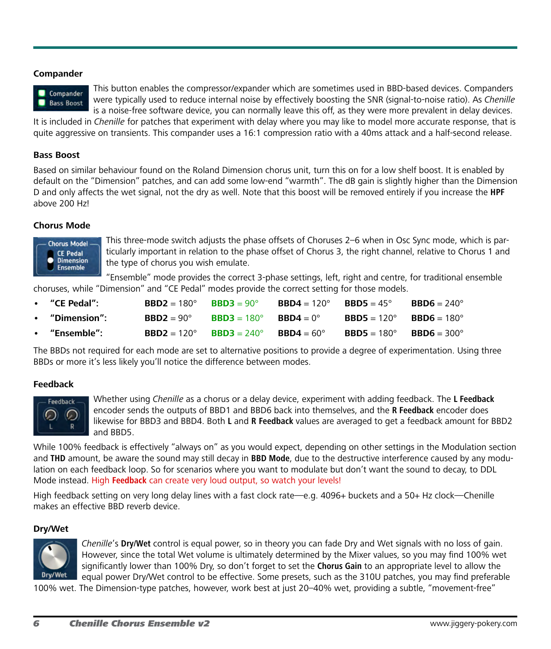# **Compander**



This button enables the compressor/expander which are sometimes used in BBD-based devices. Companders were typically used to reduce internal noise by effectively boosting the SNR (signal-to-noise ratio). As *Chenille* is a noise-free software device, you can normally leave this off, as they were more prevalent in delay devices.

It is included in *Chenille* for patches that experiment with delay where you may like to model more accurate response, that is quite aggressive on transients. This compander uses a 16:1 compression ratio with a 40ms attack and a half-second release.

# **Bass Boost**

Based on similar behaviour found on the Roland Dimension chorus unit, turn this on for a low shelf boost. It is enabled by default on the "Dimension" patches, and can add some low-end "warmth". The dB gain is slightly higher than the Dimension D and only affects the wet signal, not the dry as well. Note that this boost will be removed entirely if you increase the **HPF** above 200 Hz!

# **Chorus Mode**



This three-mode switch adjusts the phase offsets of Choruses 2–6 when in Osc Sync mode, which is particularly important in relation to the phase offset of Chorus 3, the right channel, relative to Chorus 1 and the type of chorus you wish emulate.

"Ensemble" mode provides the correct 3-phase settings, left, right and centre, for traditional ensemble choruses, while "Dimension" and "CE Pedal" modes provide the correct setting for those models.

| "CE Pedal":  | $BBD2 = 180^\circ$  | $BBD3 = 90^\circ$  | $BBD4 = 120^{\circ}$                                   | <b>BBD5</b> = 45°  | $BBD6 = 240^\circ$   |
|--------------|---------------------|--------------------|--------------------------------------------------------|--------------------|----------------------|
| "Dimension": | $BBD2 = 90^{\circ}$ | $BBD3 = 180^\circ$ | $\mathbf{R}\mathbf{R}\mathbf{D}\mathbf{4} = 0^{\circ}$ | $BBD5 = 120^\circ$ | $BBD6 = 180^\circ$   |
| "Ensemble":  | $BBD2 = 120^\circ$  | $BBD3 = 240^\circ$ | $BBD4 = 60^{\circ}$                                    | $BBD5 = 180^\circ$ | $BBD6 = 300^{\circ}$ |

The BBDs not required for each mode are set to alternative positions to provide a degree of experimentation. Using three BBDs or more it's less likely you'll notice the difference between modes.

# **Feedback**



Whether using *Chenille* as a chorus or a delay device, experiment with adding feedback. The **L Feedback** encoder sends the outputs of BBD1 and BBD6 back into themselves, and the **R Feedback** encoder does likewise for BBD3 and BBD4. Both **L** and **R Feedback** values are averaged to get a feedback amount for BBD2 and BBD5.

While 100% feedback is effectively "always on" as you would expect, depending on other settings in the Modulation section and **THD** amount, be aware the sound may still decay in **BBD Mode**, due to the destructive interference caused by any modulation on each feedback loop. So for scenarios where you want to modulate but don't want the sound to decay, to DDL Mode instead. High **Feedback** can create very loud output, so watch your levels!

High feedback setting on very long delay lines with a fast clock rate—e.g. 4096+ buckets and a 50+ Hz clock—Chenille makes an effective BBD reverb device.

# **Dry/Wet**



*Chenille*'s **Dry/Wet** control is equal power, so in theory you can fade Dry and Wet signals with no loss of gain. However, since the total Wet volume is ultimately determined by the Mixer values, so you may find 100% wet significantly lower than 100% Dry, so don't forget to set the **Chorus Gain** to an appropriate level to allow the equal power Dry/Wet control to be effective. Some presets, such as the 310U patches, you may find preferable

100% wet. The Dimension-type patches, however, work best at just 20–40% wet, providing a subtle, "movement-free"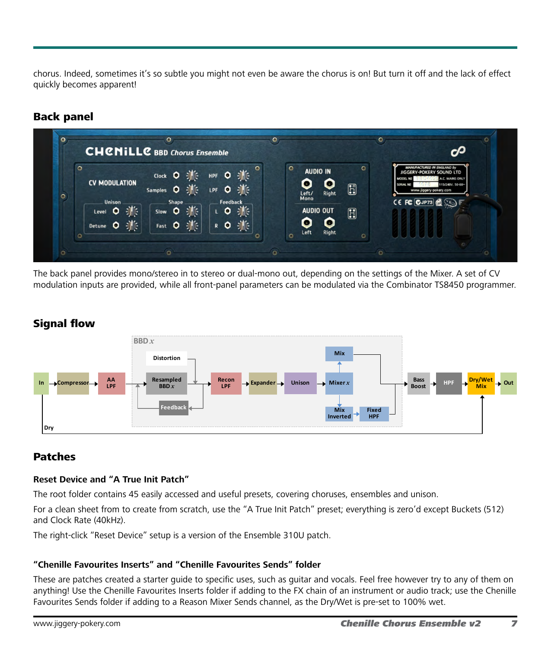chorus. Indeed, sometimes it's so subtle you might not even be aware the chorus is on! But turn it off and the lack of effect quickly becomes apparent!

# Back panel

| $\circ$ |                      |                 |                         | $\circ$<br>$\circ$<br><b>AUDIO IN</b> | <b>IIGGERY-POKERY SOUND LTD</b>                  |
|---------|----------------------|-----------------|-------------------------|---------------------------------------|--------------------------------------------------|
|         | <b>CV MODULATION</b> |                 |                         | <b>COL</b>                            | A.C. MAINS ONLY<br><b>MODEL</b><br><b>SERIAL</b> |
|         |                      |                 | Samples O JAC LPF O JAC | E<br>Right                            | 115/240V. 50-60~<br>www.jiggery-pokery.com       |
|         | <b>Unison</b>        | Shape           | Feedback                | Left/<br>Mono                         | CE FC CJP73                                      |
|         | Level O :            | Slow <b>O</b> : | 10 张                    | <b>AUDIO OUT</b><br>$\mathbf{H}$      |                                                  |
|         | Detune O :           | Fast O 3        | R O SME                 | o                                     |                                                  |

The back panel provides mono/stereo in to stereo or dual-mono out, depending on the settings of the Mixer. A set of CV modulation inputs are provided, while all front-panel parameters can be modulated via the Combinator TS8450 programmer.

# Signal flow



# Patches

# **Reset Device and "A True Init Patch"**

The root folder contains 45 easily accessed and useful presets, covering choruses, ensembles and unison.

For a clean sheet from to create from scratch, use the "A True Init Patch" preset; everything is zero'd except Buckets (512) and Clock Rate (40kHz).

The right-click "Reset Device" setup is a version of the Ensemble 310U patch.

# **"Chenille Favourites Inserts" and "Chenille Favourites Sends" folder**

These are patches created a starter guide to specific uses, such as guitar and vocals. Feel free however try to any of them on anything! Use the Chenille Favourites Inserts folder if adding to the FX chain of an instrument or audio track; use the Chenille Favourites Sends folder if adding to a Reason Mixer Sends channel, as the Dry/Wet is pre-set to 100% wet.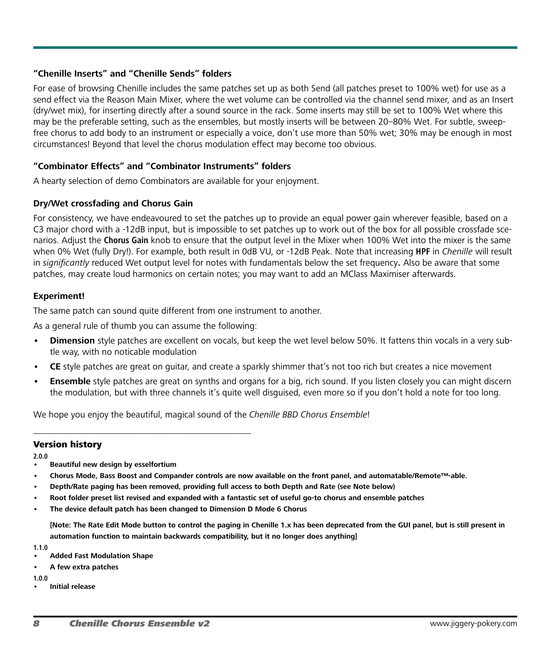# **"Chenille Inserts" and "Chenille Sends" folders**

For ease of browsing Chenille includes the same patches set up as both Send (all patches preset to 100% wet) for use as a send effect via the Reason Main Mixer, where the wet volume can be controlled via the channel send mixer, and as an Insert (dry/wet mix), for inserting directly after a sound source in the rack. Some inserts may still be set to 100% Wet where this may be the preferable setting, such as the ensembles, but mostly inserts will be between 20–80% Wet. For subtle, sweepfree chorus to add body to an instrument or especially a voice, don't use more than 50% wet; 30% may be enough in most circumstances! Beyond that level the chorus modulation effect may become too obvious.

# **"Combinator Effects" and "Combinator Instruments" folders**

A hearty selection of demo Combinators are available for your enjoyment.

# **Dry/Wet crossfading and Chorus Gain**

For consistency, we have endeavoured to set the patches up to provide an equal power gain wherever feasible, based on a C3 major chord with a -12dB input, but is impossible to set patches up to work out of the box for all possible crossfade scenarios. Adjust the **Chorus Gain** knob to ensure that the output level in the Mixer when 100% Wet into the mixer is the same when 0% Wet (fully Dry!). For example, both result in 0dB VU, or -12dB Peak. Note that increasing **HPF** in *Chenille* will result in *significantly* reduced Wet output level for notes with fundamentals below the set frequency**.** Also be aware that some patches, may create loud harmonics on certain notes; you may want to add an MClass Maximiser afterwards.

# **Experiment!**

The same patch can sound quite different from one instrument to another.

As a general rule of thumb you can assume the following:

\_\_\_\_\_\_\_\_\_\_\_\_\_\_\_\_\_\_\_\_\_\_\_\_\_\_\_\_\_\_\_\_\_\_\_\_\_\_\_\_\_\_\_\_\_\_\_

- **Dimension** style patches are excellent on vocals, but keep the wet level below 50%. It fattens thin vocals in a very subtle way, with no noticable modulation
- **CE** style patches are great on quitar, and create a sparkly shimmer that's not too rich but creates a nice movement
- **Ensemble** style patches are great on synths and organs for a big, rich sound. If you listen closely you can might discern the modulation, but with three channels it's quite well disguised, even more so if you don't hold a note for too long.

We hope you enjoy the beautiful, magical sound of the *Chenille BBD Chorus Ensemble*!

#### Version history

**2.0.0**

- **• Beautiful new design by esselfortium**
- Chorus Mode, Bass Boost and Compander controls are now available on the front panel, and automatable/Remote™-able.
- **• Depth/Rate paging has been removed, providing full access to both Depth and Rate (see Note below)**
- Root folder preset list revised and expanded with a fantastic set of useful go-to chorus and ensemble patches
- **• The device default patch has been changed to Dimension D Mode 6 Chorus**

[Note: The Rate Edit Mode button to control the paging in Chenille 1.x has been deprecated from the GUI panel, but is still present in **automation function to maintain backwards compatibility, but it no longer does anything]**

**1.1.0**

- **• Added Fast Modulation Shape**
- **• A few extra patches**

**1.0.0**

**• Initial release**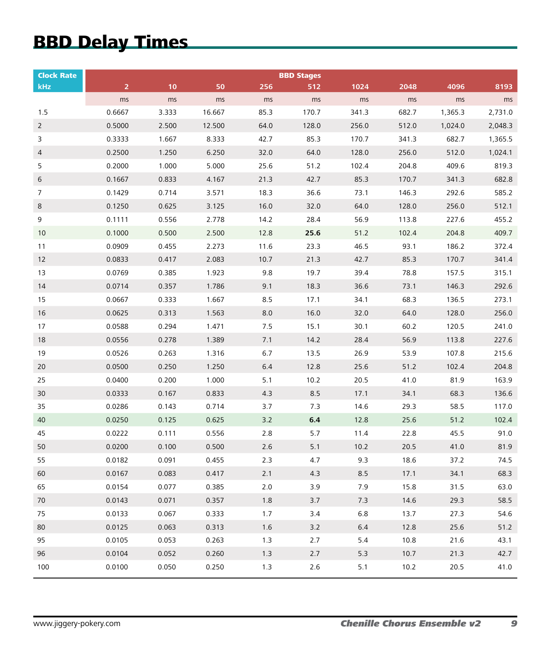# BBD Delay Times

| <b>Clock Rate</b> | <b>BBD Stages</b> |       |        |         |         |       |       |         |         |  |  |
|-------------------|-------------------|-------|--------|---------|---------|-------|-------|---------|---------|--|--|
| kHz               | $\overline{2}$    | 10    | 50     | 256     | 512     | 1024  | 2048  | 4096    | 8193    |  |  |
|                   | ms                | ms    | ms     | ms      | ms      | ms    | ms    | ms      | ms      |  |  |
| 1.5               | 0.6667            | 3.333 | 16.667 | 85.3    | 170.7   | 341.3 | 682.7 | 1,365.3 | 2,731.0 |  |  |
| $\overline{2}$    | 0.5000            | 2.500 | 12.500 | 64.0    | 128.0   | 256.0 | 512.0 | 1,024.0 | 2,048.3 |  |  |
| 3                 | 0.3333            | 1.667 | 8.333  | 42.7    | 85.3    | 170.7 | 341.3 | 682.7   | 1,365.5 |  |  |
| 4                 | 0.2500            | 1.250 | 6.250  | 32.0    | 64.0    | 128.0 | 256.0 | 512.0   | 1,024.1 |  |  |
| 5                 | 0.2000            | 1.000 | 5.000  | 25.6    | 51.2    | 102.4 | 204.8 | 409.6   | 819.3   |  |  |
| 6                 | 0.1667            | 0.833 | 4.167  | 21.3    | 42.7    | 85.3  | 170.7 | 341.3   | 682.8   |  |  |
| 7                 | 0.1429            | 0.714 | 3.571  | 18.3    | 36.6    | 73.1  | 146.3 | 292.6   | 585.2   |  |  |
| 8                 | 0.1250            | 0.625 | 3.125  | 16.0    | 32.0    | 64.0  | 128.0 | 256.0   | 512.1   |  |  |
| 9                 | 0.1111            | 0.556 | 2.778  | 14.2    | 28.4    | 56.9  | 113.8 | 227.6   | 455.2   |  |  |
| 10                | 0.1000            | 0.500 | 2.500  | 12.8    | 25.6    | 51.2  | 102.4 | 204.8   | 409.7   |  |  |
| 11                | 0.0909            | 0.455 | 2.273  | 11.6    | 23.3    | 46.5  | 93.1  | 186.2   | 372.4   |  |  |
| 12                | 0.0833            | 0.417 | 2.083  | 10.7    | 21.3    | 42.7  | 85.3  | 170.7   | 341.4   |  |  |
| 13                | 0.0769            | 0.385 | 1.923  | 9.8     | 19.7    | 39.4  | 78.8  | 157.5   | 315.1   |  |  |
| 14                | 0.0714            | 0.357 | 1.786  | 9.1     | 18.3    | 36.6  | 73.1  | 146.3   | 292.6   |  |  |
| 15                | 0.0667            | 0.333 | 1.667  | 8.5     | 17.1    | 34.1  | 68.3  | 136.5   | 273.1   |  |  |
| 16                | 0.0625            | 0.313 | 1.563  | 8.0     | 16.0    | 32.0  | 64.0  | 128.0   | 256.0   |  |  |
| 17                | 0.0588            | 0.294 | 1.471  | 7.5     | 15.1    | 30.1  | 60.2  | 120.5   | 241.0   |  |  |
| 18                | 0.0556            | 0.278 | 1.389  | 7.1     | 14.2    | 28.4  | 56.9  | 113.8   | 227.6   |  |  |
| 19                | 0.0526            | 0.263 | 1.316  | 6.7     | 13.5    | 26.9  | 53.9  | 107.8   | 215.6   |  |  |
| 20                | 0.0500            | 0.250 | 1.250  | $6.4\,$ | 12.8    | 25.6  | 51.2  | 102.4   | 204.8   |  |  |
| 25                | 0.0400            | 0.200 | 1.000  | 5.1     | 10.2    | 20.5  | 41.0  | 81.9    | 163.9   |  |  |
| 30                | 0.0333            | 0.167 | 0.833  | 4.3     | 8.5     | 17.1  | 34.1  | 68.3    | 136.6   |  |  |
| 35                | 0.0286            | 0.143 | 0.714  | 3.7     | 7.3     | 14.6  | 29.3  | 58.5    | 117.0   |  |  |
| 40                | 0.0250            | 0.125 | 0.625  | 3.2     | $6.4\,$ | 12.8  | 25.6  | 51.2    | 102.4   |  |  |
| 45                | 0.0222            | 0.111 | 0.556  | 2.8     | 5.7     | 11.4  | 22.8  | 45.5    | 91.0    |  |  |
| 50                | 0.0200            | 0.100 | 0.500  | 2.6     | 5.1     | 10.2  | 20.5  | 41.0    | 81.9    |  |  |
| 55                | 0.0182            | 0.091 | 0.455  | 2.3     | 4.7     | 9.3   | 18.6  | 37.2    | 74.5    |  |  |
| 60                | 0.0167            | 0.083 | 0.417  | 2.1     | 4.3     | 8.5   | 17.1  | 34.1    | 68.3    |  |  |
| 65                | 0.0154            | 0.077 | 0.385  | $2.0$   | 3.9     | 7.9   | 15.8  | 31.5    | 63.0    |  |  |
| 70                | 0.0143            | 0.071 | 0.357  | $1.8\,$ | $3.7$   | 7.3   | 14.6  | 29.3    | 58.5    |  |  |
| 75                | 0.0133            | 0.067 | 0.333  | 1.7     | 3.4     | 6.8   | 13.7  | 27.3    | 54.6    |  |  |
| 80                | 0.0125            | 0.063 | 0.313  | 1.6     | 3.2     | 6.4   | 12.8  | 25.6    | 51.2    |  |  |
| 95                | 0.0105            | 0.053 | 0.263  | 1.3     | 2.7     | 5.4   | 10.8  | 21.6    | 43.1    |  |  |
| 96                | 0.0104            | 0.052 | 0.260  | 1.3     | 2.7     | 5.3   | 10.7  | 21.3    | 42.7    |  |  |
| 100               | 0.0100            | 0.050 | 0.250  | 1.3     | $2.6$   | 5.1   | 10.2  | 20.5    | 41.0    |  |  |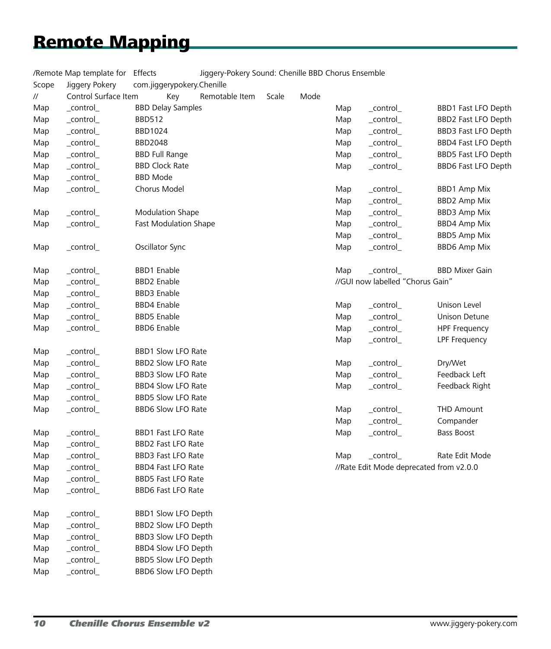# Remote Mapping

| /Remote Map template for Effects |                             |               |                            | Jiggery-Pokery Sound: Chenille BBD Chorus Ensemble |       |      |     |                                         |                       |  |
|----------------------------------|-----------------------------|---------------|----------------------------|----------------------------------------------------|-------|------|-----|-----------------------------------------|-----------------------|--|
| Scope                            | Jiggery Pokery              |               | com.jiggerypokery.Chenille |                                                    |       |      |     |                                         |                       |  |
| $^{\prime\prime}$                | Control Surface Item        |               | Key                        | Remotable Item                                     | Scale | Mode |     |                                         |                       |  |
| Map                              | _control_                   |               | <b>BBD Delay Samples</b>   |                                                    |       |      | Map | _control_                               | BBD1 Fast LFO Depth   |  |
| Map                              | _control_                   | <b>BBD512</b> |                            |                                                    |       |      | Map | _control_                               | BBD2 Fast LFO Depth   |  |
| Map                              | $_{\rm \_control_{\rm \_}}$ |               | BBD1024                    |                                                    |       |      | Map | _control_                               | BBD3 Fast LFO Depth   |  |
| Map                              | _control_                   |               | <b>BBD2048</b>             |                                                    |       |      | Map | _control_                               | BBD4 Fast LFO Depth   |  |
| Map                              | _control_                   |               | <b>BBD Full Range</b>      |                                                    |       |      | Map | _control_                               | BBD5 Fast LFO Depth   |  |
| Map                              | _control_                   |               | <b>BBD Clock Rate</b>      |                                                    |       |      | Map | _control_                               | BBD6 Fast LFO Depth   |  |
| Map                              | _control_                   |               | <b>BBD Mode</b>            |                                                    |       |      |     |                                         |                       |  |
| Map                              | _control_                   |               | Chorus Model               |                                                    |       |      | Map | _control_                               | <b>BBD1 Amp Mix</b>   |  |
|                                  |                             |               |                            |                                                    |       |      | Map | _control_                               | <b>BBD2 Amp Mix</b>   |  |
| Map                              | _control_                   |               | <b>Modulation Shape</b>    |                                                    |       |      | Map | _control_                               | <b>BBD3 Amp Mix</b>   |  |
| Map                              | _control_                   |               | Fast Modulation Shape      |                                                    |       |      | Map | $_{\rm \_control_{\rm \_}}$             | <b>BBD4 Amp Mix</b>   |  |
|                                  |                             |               |                            |                                                    |       |      | Map | _control_                               | <b>BBD5 Amp Mix</b>   |  |
| Map                              | _control_                   |               | Oscillator Sync            |                                                    |       |      | Map | $_{\rm \_control_{\rm \_}}$             | <b>BBD6 Amp Mix</b>   |  |
| Map                              | _control_                   |               | <b>BBD1</b> Enable         |                                                    |       |      | Map | _control_                               | <b>BBD Mixer Gain</b> |  |
| Map                              | _control_                   |               | <b>BBD2</b> Enable         |                                                    |       |      |     | //GUI now labelled "Chorus Gain"        |                       |  |
| Map                              | _control_                   |               | <b>BBD3</b> Enable         |                                                    |       |      |     |                                         |                       |  |
| Map                              | _control_                   |               | <b>BBD4</b> Enable         |                                                    |       |      | Map | _control_                               | Unison Level          |  |
| Map                              | _control_                   |               | <b>BBD5</b> Enable         |                                                    |       |      | Map | _control_                               | <b>Unison Detune</b>  |  |
| Map                              | _control_                   |               | <b>BBD6</b> Enable         |                                                    |       |      | Map | _control_                               | <b>HPF Frequency</b>  |  |
|                                  |                             |               |                            |                                                    |       |      | Map | _control_                               | LPF Frequency         |  |
| Map                              | _control_                   |               | BBD1 Slow LFO Rate         |                                                    |       |      |     |                                         |                       |  |
| Map                              | _control_                   |               | BBD2 Slow LFO Rate         |                                                    |       |      | Map | _control_                               | Dry/Wet               |  |
| Map                              | _control_                   |               | BBD3 Slow LFO Rate         |                                                    |       |      | Map | _control_                               | Feedback Left         |  |
| Map                              | _control_                   |               | BBD4 Slow LFO Rate         |                                                    |       |      | Map | _control_                               | Feedback Right        |  |
| Map                              | _control_                   |               | BBD5 Slow LFO Rate         |                                                    |       |      |     |                                         |                       |  |
| Map                              | _control_                   |               | BBD6 Slow LFO Rate         |                                                    |       |      | Map | _control_                               | <b>THD Amount</b>     |  |
|                                  |                             |               |                            |                                                    |       |      | Map | _control_                               | Compander             |  |
| Map                              | $_{\rm \_control_{\rm \_}}$ |               | <b>BBD1 Fast LFO Rate</b>  |                                                    |       |      | Map | _control_                               | Bass Boost            |  |
| Map                              | control                     |               | BBD2 Fast LFO Rate         |                                                    |       |      |     |                                         |                       |  |
| Map                              | _control_                   |               | <b>BBD3 Fast LFO Rate</b>  |                                                    |       |      | Map | _control_                               | Rate Edit Mode        |  |
| Map                              | _control_                   |               | <b>BBD4 Fast LFO Rate</b>  |                                                    |       |      |     | //Rate Edit Mode deprecated from v2.0.0 |                       |  |
| Map                              | _control_                   |               | BBD5 Fast LFO Rate         |                                                    |       |      |     |                                         |                       |  |
| Map                              | _control_                   |               | <b>BBD6 Fast LFO Rate</b>  |                                                    |       |      |     |                                         |                       |  |
| Map                              | _control_                   |               | BBD1 Slow LFO Depth        |                                                    |       |      |     |                                         |                       |  |
| Map                              | _control_                   |               | BBD2 Slow LFO Depth        |                                                    |       |      |     |                                         |                       |  |
| Map                              | _control_                   |               | BBD3 Slow LFO Depth        |                                                    |       |      |     |                                         |                       |  |
| Map                              | _control_                   |               | BBD4 Slow LFO Depth        |                                                    |       |      |     |                                         |                       |  |
| Map                              | _control_                   |               | BBD5 Slow LFO Depth        |                                                    |       |      |     |                                         |                       |  |
| Map                              | _control_                   |               | BBD6 Slow LFO Depth        |                                                    |       |      |     |                                         |                       |  |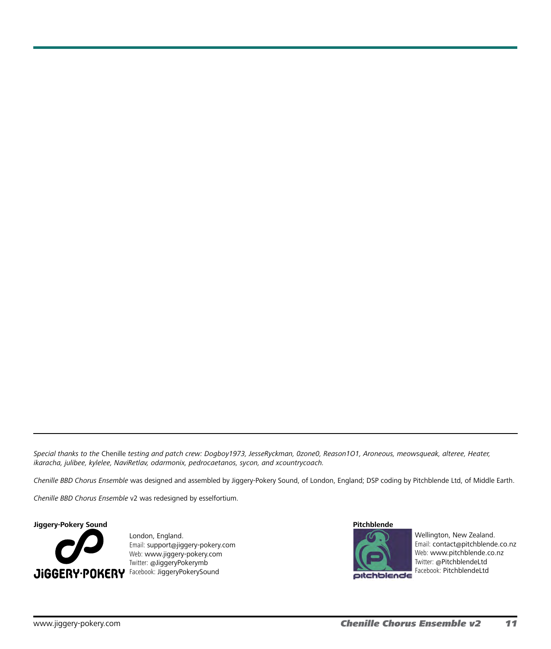*Special thanks to the* Chenille *testing and patch crew: Dogboy1973, JesseRyckman, 0zone0, Reason1O1, Aroneous, meowsqueak, alteree, Heater, ikaracha, julibee, kylelee, NaviRetlav, odarmonix, pedrocaetanos, sycon, and xcountrycoach.*

*Chenille BBD Chorus Ensemble* was designed and assembled by Jiggery-Pokery Sound, of London, England; DSP coding by Pitchblende Ltd, of Middle Earth.

*Chenille BBD Chorus Ensemble* v2 was redesigned by esselfortium.

**Jiggery-Pokery Sound**



London, England. Email: support[@j](mailto:contact%40pitchblende.co.nz?subject=)iggery-pokery.com Web: [www.j](http://www.pitchblende.co.nz)iggery-pokery.com Twitter: @JiggeryPokerymb

#### **Pitchblende**



Wellington, New Zealand. Email: [contact@pitchblende.co.nz](mailto:contact%40pitchblende.co.nz?subject=) Web: [www.pitchblende.co.nz](http://www.pitchblende.co.nz) Twitter: [@PitchblendeLtd](https://twitter.com/PitchblendeLtd) Facebook: [PitchblendeLtd](http://www.facebook.com/PitchblendeLtd)